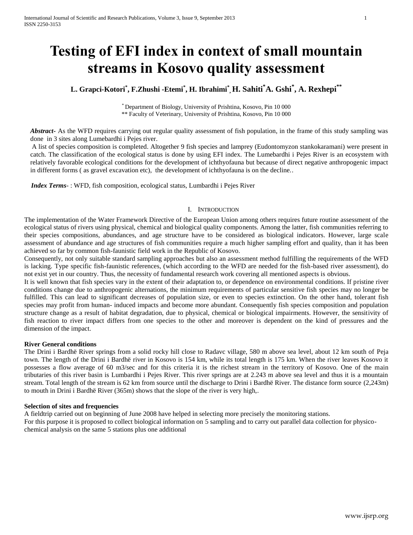# **Testing of EFI index in context of small mountain streams in Kosovo quality assessment**

# **L. Grapci-Kotori\* , F.Zhushi -Etemi\* , H. Ibrahimi\* , H. Sahiti\*A. Gshi\* , A. Rexhepi\*\***

\* Department of Biology, University of Prishtina, Kosovo, Pin 10 000 \*\* Faculty of Veterinary, University of Prishtina, Kosovo, Pin 10 000

*Abstract***-** As the WFD requires carrying out regular quality assessment of fish population, in the frame of this study sampling was done in 3 sites along Lumebardhi i Pejes river.

A list of species composition is completed. Altogether 9 fish species and lamprey (Eudontomyzon stankokaramani) were present in catch. The classification of the ecological status is done by using EFI index. The Lumebardhi i Pejes River is an ecosystem with relatively favorable ecological conditions for the development of ichthyofauna but because of direct negative anthropogenic impact in different forms ( as gravel excavation etc), the development of ichthyofauna is on the decline..

 *Index Terms*- : WFD, fish composition, ecological status, Lumbardhi i Pejes River

# I. INTRODUCTION

The implementation of the Water Framework Directive of the European Union among others requires future routine assessment of the ecological status of rivers using physical, chemical and biological quality components. Among the latter, fish communities referring to their species compositions, abundances, and age structure have to be considered as biological indicators. However, large scale assessment of abundance and age structures of fish communities require a much higher sampling effort and quality, than it has been achieved so far by common fish-faunistic field work in the Republic of Kosovo.

Consequently, not only suitable standard sampling approaches but also an assessment method fulfilling the requirements of the WFD is lacking. Type specific fish-faunistic references, (which according to the WFD are needed for the fish-based river assessment), do not exist yet in our country. Thus, the necessity of fundamental research work covering all mentioned aspects is obvious.

It is well known that fish species vary in the extent of their adaptation to, or dependence on environmental conditions. If pristine river conditions change due to anthropogenic alternations, the minimum requirements of particular sensitive fish species may no longer be fulfilled. This can lead to significant decreases of population size, or even to species extinction. On the other hand, tolerant fish species may profit from human- induced impacts and become more abundant. Consequently fish species composition and population structure change as a result of habitat degradation, due to physical, chemical or biological impairments. However, the sensitivity of fish reaction to river impact differs from one species to the other and moreover is dependent on the kind of pressures and the dimension of the impact.

## **River General conditions**

The Drini i Bardhë River springs from a solid rocky hill close to Radavc village, 580 m above sea level, about 12 km south of Peja town. The length of the Drini i Bardhë river in Kosovo is 154 km, while its total length is 175 km. When the river leaves Kosovo it possesses a flow average of 60 m3/sec and for this criteria it is the richest stream in the territory of Kosovo. One of the main tributaries of this river basin is Lumbardhi i Pejes River. This river springs are at 2.243 m above sea level and thus it is a mountain stream. Total length of the stream is 62 km from source until the discharge to Drini i Bardhë River. The distance form source (2,243m) to mouth in Drini i Bardhë River (365m) shows that the slope of the river is very high,.

## **Selection of sites and frequencies**

A fieldtrip carried out on beginning of June 2008 have helped in selecting more precisely the monitoring stations. For this purpose it is proposed to collect biological information on 5 sampling and to carry out parallel data collection for physicochemical analysis on the same 5 stations plus one additional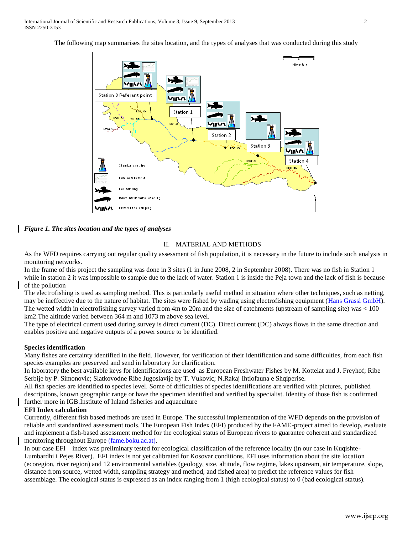The following map summarises the sites location, and the types of analyses that was conducted during this study



*Figure 1. The sites location and the types of analyses*

# II. MATERIAL AND METHODS

As the WFD requires carrying out regular quality assessment of fish population, it is necessary in the future to include such analysis in monitoring networks.

In the frame of this project the sampling was done in 3 sites (1 in June 2008, 2 in September 2008). There was no fish in Station 1 while in station 2 it was impossible to sample due to the lack of water. Station 1 is inside the Peja town and the lack of fish is because of the pollution

The electrofishing is used as sampling method. This is particularly useful method in situation where other techniques, such as netting, may be ineffective due to the nature of habitat. The sites were fished by wading using electrofishing equipment [\(Hans Grassl GmbH\)](http://www.google.com/aclk?sa=L&ai=CL8bB4KArSu-MGIersAbq3uHUB4Cg6G_4pruOC-SIv9IsEAFQx8n4nwVg_J77jfAlyAEBqQILcBBY8bm3PqoEG0_QXxz4oaErGoC8zNgl4GLik7P-PL_APmOmKA&num=1&sig=AGiWqtxFANGY6_P8BUqXCXpM7u-u2s1Gmw&q=http://www.hans-grassl.com/fdEXT!00013424032009164419KAD12%26T%26164419). The wetted width in electrofishing survey varied from 4m to 20m and the size of catchments (upstream of sampling site) was < 100 km2.The altitude varied between 364 m and 1073 m above sea level.

The type of electrical current used during survey is direct current (DC). Direct current (DC) always flows in the same direction and enables positive and negative outputs of a power source to be identified.

#### **Species identification**

Many fishes are certainty identified in the field. However, for verification of their identification and some difficulties, from each fish species examples are preserved and send in laboratory for clarification.

In laboratory the best available keys for identifications are used as European Freshwater Fishes by M. Kottelat and J. Freyhof; Ribe Serbije by P. Simonovic; Slatkovodne Ribe Jugoslavije by T. Vukovic; N.Rakaj Ihtiofauna e Shqiperise.

All fish species are identified to species level. Some of difficulties of species identifications are verified with pictures, published descriptions, known geographic range or have the specimen identified and verified by specialist. Identity of those fish is confirmed further more in IGB.Institute of Inland fisheries and aquaculture

#### **EFI Index calculation**

Currently, different fish based methods are used in Europe. The successful implementation of the WFD depends on the provision of reliable and standardized assessment tools. The European Fish Index (EFI) produced by the FAME-project aimed to develop, evaluate and implement a fish-based assessment method for the ecological status of European rivers to guarantee coherent and standardized monitoring throughout Europe (fame.boku.ac.at).

In our case EFI – index was preliminary tested for ecological classification of the reference locality (in our case in Kuqishte-Lumbardhi i Pejes River). EFI index is not yet calibrated for Kosovar conditions. EFI uses information about the site location (ecoregion, river region) and 12 environmental variables (geology, size, altitude, flow regime, lakes upstream, air temperature, slope, distance from source, wetted width, sampling strategy and method, and fished area) to predict the reference values for fish assemblage. The ecological status is expressed as an index ranging from 1 (high ecological status) to 0 (bad ecological status).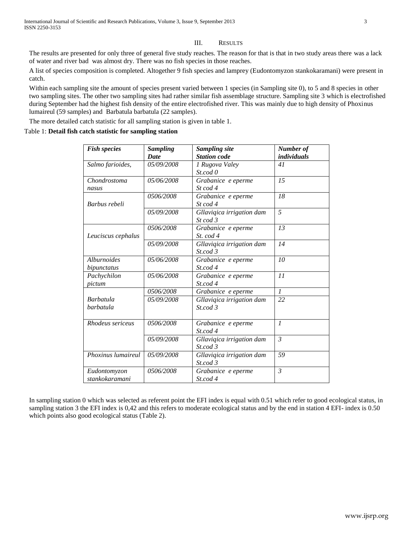## III. RESULTS

The results are presented for only three of general five study reaches. The reason for that is that in two study areas there was a lack of water and river bad was almost dry. There was no fish species in those reaches.

A list of species composition is completed. Altogether 9 fish species and lamprey (Eudontomyzon stankokaramani) were present in catch.

Within each sampling site the amount of species present varied between 1 species (in Sampling site 0), to 5 and 8 species in other two sampling sites. The other two sampling sites had rather similar fish assemblage structure. Sampling site 3 which is electrofished during September had the highest fish density of the entire electrofished river. This was mainly due to high density of Phoxinus lumaireul (59 samples) and Barbatula barbatula (22 samples).

The more detailed catch statistic for all sampling station is given in table 1.

#### Table 1: **Detail fish catch statistic for sampling station**

| <b>Fish species</b> | <b>Sampling</b> | <b>Sampling site</b>         | Number of          |  |
|---------------------|-----------------|------------------------------|--------------------|--|
|                     | <b>Date</b>     | <b>Station</b> code          | <i>individuals</i> |  |
| Salmo farioides,    | 05/09/2008      | 1 Rugova Valey               | 41                 |  |
|                     |                 | St.cod 0                     |                    |  |
| Chondrostoma        | 05/06/2008      | Grabanice e eperme           | 15                 |  |
| nasus               |                 | $St \text{ } cod \text{ } 4$ |                    |  |
|                     | 0506/2008       | Grabanice e eperme           | 18                 |  |
| Barbus rebeli       |                 | St cod 4                     |                    |  |
|                     | 05/09/2008      | Gllaviqica irrigation dam    | 5                  |  |
|                     |                 | $St \text{ } cod \text{ } 3$ |                    |  |
|                     | 0506/2008       | Grabanice e eperme           | 13                 |  |
| Leuciscus cephalus  |                 | $St. \text{cod } 4$          |                    |  |
|                     | 05/09/2008      | Gllaviqica irrigation dam    | 14                 |  |
|                     |                 | St. cod 3                    |                    |  |
| <i>Alburnoides</i>  | 05/06/2008      | Grabanice e eperme           | 10                 |  |
| bipunctatus         |                 | St.cod 4                     |                    |  |
| Pachychilon         | 05/06/2008      | Grabanice e eperme           | 11                 |  |
| pictum              |                 | St.cod 4                     |                    |  |
|                     | 0506/2008       | Grabanice e eperme           | $\mathcal{I}$      |  |
| <b>Barbatula</b>    | 05/09/2008      | Gllaviqica irrigation dam    | 22                 |  |
| barbatula           |                 | St. cod 3                    |                    |  |
|                     |                 |                              |                    |  |
| Rhodeus sericeus    | 0506/2008       | Grabanice e eperme           | $\mathcal{I}$      |  |
|                     |                 | St. cod 4                    |                    |  |
|                     | 05/09/2008      | Gllaviqica irrigation dam    | $\overline{3}$     |  |
|                     |                 | St. cod.3                    |                    |  |
| Phoxinus lumaireul  | 05/09/2008      | Gllaviqica irrigation dam    | 59                 |  |
|                     |                 | St.cod 3                     |                    |  |
| Eudontomyzon        | 0506/2008       | Grabanice e eperme           | $\mathfrak{Z}$     |  |
| stankokaramani      |                 | St. cod 4                    |                    |  |

In sampling station 0 which was selected as referent point the EFI index is equal with 0.51 which refer to good ecological status, in sampling station 3 the EFI index is 0,42 and this refers to moderate ecological status and by the end in station 4 EFI- index is 0.50 which points also good ecological status (Table 2).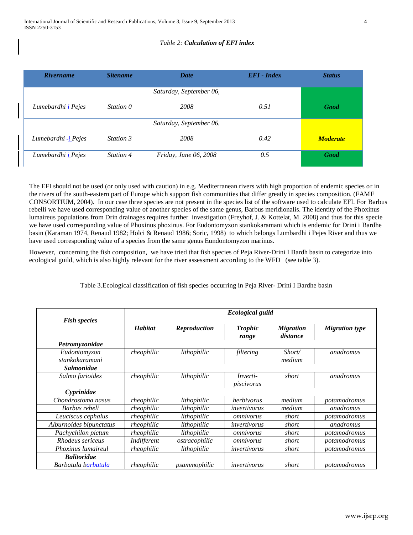# *Table 2: Calculation of EFI index*

| <b>Rivername</b>            | <i>Sitename</i> | <b>Date</b>             | $EFI$ - Index | <b>Status</b>   |
|-----------------------------|-----------------|-------------------------|---------------|-----------------|
|                             |                 | Saturday, September 06, |               |                 |
| Lumebardhi <u>i</u> Pejes   | Station 0       | 2008                    | 0.51          | Good            |
|                             |                 | Saturday, September 06, |               |                 |
| Lumebardhi - <i>i</i> Pejes | Station 3       | 2008                    | 0.42          | <b>Moderate</b> |
| Lumebardhi <i>i</i> Pejes   | Station 4       | Friday, June 06, 2008   | 0.5           | Good            |

The EFI should not be used (or only used with caution) in e.g. Mediterranean rivers with high proportion of endemic species or in the rivers of the south-eastern part of Europe which support fish communities that differ greatly in species composition. (FAME CONSORTIUM, 2004). In our case three species are not present in the species list of the software used to calculate EFI. For Barbus rebelli we have used corresponding value of another species of the same genus, Barbus meridionalis. The identity of the Phoxinus lumaireus populations from Drin drainages requires further investigation (Freyhof, J. & Kottelat, M. 2008) and thus for this specie we have used corresponding value of Phoxinus phoxinus. For Eudontomyzon stankokaramani which is endemic for Drini i Bardhe basin (Karaman 1974, Renaud 1982; Holci & Renaud 1986; Soric, 1998) to which belongs Lumbardhi i Pejes River and thus we have used corresponding value of a species from the same genus Eundontomyzon marinus.

However, concerning the fish composition, we have tried that fish species of Peja River-Drini I Bardh basin to categorize into ecological guild, which is also highly relevant for the river assessment according to the WFD (see table 3).

| Table 3. Ecological classification of fish species occurring in Peja River- Drini I Bardhe basin |  |  |  |
|--------------------------------------------------------------------------------------------------|--|--|--|

|                         | <b>Ecological guild</b> |               |                 |                  |                       |
|-------------------------|-------------------------|---------------|-----------------|------------------|-----------------------|
| <b>Fish species</b>     |                         |               |                 |                  |                       |
|                         | <b>Habitat</b>          | Reproduction  | <b>Trophic</b>  | <b>Migration</b> | <b>Migration</b> type |
|                         |                         |               | range           | distance         |                       |
| Petromyzonidae          |                         |               |                 |                  |                       |
| Eudontomyzon            | rheophilic              | lithophilic   | filtering       | Short/           | anadromus             |
| stankokaramani          |                         |               |                 | medium           |                       |
| <b>Salmonidae</b>       |                         |               |                 |                  |                       |
| Salmo farioides         | rheophilic              | lithophilic   | <i>Inverti-</i> | short            | anadromus             |
|                         |                         |               | piscivorus      |                  |                       |
| Cyprinidae              |                         |               |                 |                  |                       |
| Chondrostoma nasus      | rheophilic              | lithophilic   | herbivorus      | medium           | potamodromus          |
| Barbus rebeli           | rheophilic              | lithophilic   | invertivorus    | medium           | anadromus             |
| Leuciscus cephalus      | rheophilic              | lithophilic   | omnivorus       | short            | potamodromus          |
| Alburnoides bipunctatus | rheophilic              | lithophilic   | invertivorus    | short            | anadromus             |
| Pachychilon pictum      | rheophilic              | lithophilic   | omnivorus       | short            | potamodromus          |
| Rhodeus sericeus        | Indifferent             | ostracophilic | omnivorus       | short            | potamodromus          |
| Phoxinus lumaireul      | rheophilic              | lithophilic   | invertivorus    | short            | potamodromus          |
| <b>Balitoridae</b>      |                         |               |                 |                  |                       |
| Barbatula barbatula     | rheophilic              | psammophilic  | invertivorus    | short            | potamodromus          |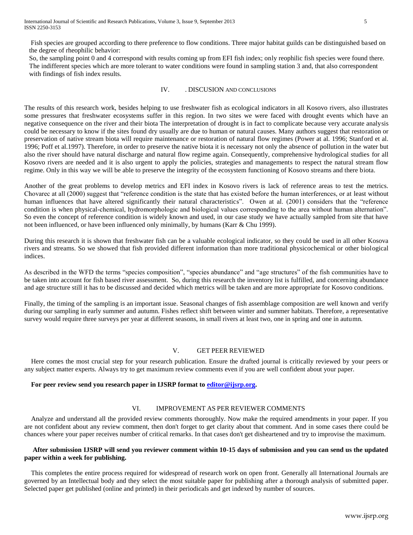Fish species are grouped according to there preference to flow conditions. Three major habitat guilds can be distinguished based on the degree of rheophilic behavior:

So, the sampling point 0 and 4 correspond with results coming up from EFI fish index; only reophilic fish species were found there. The indifferent species which are more tolerant to water conditions were found in sampling station 3 and, that also correspondent with findings of fish index results.

# IV. . DISCUSION AND CONCLUSIONS

The results of this research work, besides helping to use freshwater fish as ecological indicators in all Kosovo rivers, also illustrates some pressures that freshwater ecosystems suffer in this region. In two sites we were faced with drought events which have an negative consequence on the river and their biota The interpretation of drought is in fact to complicate because very accurate analysis could be necessary to know if the sites found dry usually are due to human or natural causes. Many authors suggest that restoration or preservation of native stream biota will require maintenance or restoration of natural flow regimes (Power at al. 1996; Stanford et al. 1996; Poff et al.1997). Therefore, in order to preserve the native biota it is necessary not only the absence of pollution in the water but also the river should have natural discharge and natural flow regime again. Consequently, comprehensive hydrological studies for all Kosovo rivers are needed and it is also urgent to apply the policies, strategies and managements to respect the natural stream flow regime. Only in this way we will be able to preserve the integrity of the ecosystem functioning of Kosovo streams and there biota.

Another of the great problems to develop metrics and EFI index in Kosovo rivers is lack of reference areas to test the metrics. Chovarec at all (2000) suggest that "reference condition is the state that has existed before the human interferences, or at least without human influences that have altered significantly their natural characteristics". Owen at al. (2001) considers that the "reference condition is when physical-chemical, hydromorphologic and biological values corresponding to the area without human alternation". So even the concept of reference condition is widely known and used, in our case study we have actually sampled from site that have not been influenced, or have been influenced only minimally, by humans (Karr & Chu 1999).

During this research it is shown that freshwater fish can be a valuable ecological indicator, so they could be used in all other Kosova rivers and streams. So we showed that fish provided different information than more traditional physicochemical or other biological indices.

As described in the WFD the terms "species composition", "species abundance" and "age structures" of the fish communities have to be taken into account for fish based river assessment. So, during this research the inventory list is fulfilled, and concerning abundance and age structure still it has to be discussed and decided which metrics will be taken and are more appropriate for Kosovo conditions.

Finally, the timing of the sampling is an important issue. Seasonal changes of fish assemblage composition are well known and verify during our sampling in early summer and autumn. Fishes reflect shift between winter and summer habitats. Therefore, a representative survey would require three surveys per year at different seasons, in small rivers at least two, one in spring and one in autumn.

# V. GET PEER REVIEWED

 Here comes the most crucial step for your research publication. Ensure the drafted journal is critically reviewed by your peers or any subject matter experts. Always try to get maximum review comments even if you are well confident about your paper.

#### **For peer review send you research paper in IJSRP format to [editor@ijsrp.org.](mailto:editor@ijsrp.org)**

# VI. IMPROVEMENT AS PER REVIEWER COMMENTS

 Analyze and understand all the provided review comments thoroughly. Now make the required amendments in your paper. If you are not confident about any review comment, then don't forget to get clarity about that comment. And in some cases there could be chances where your paper receives number of critical remarks. In that cases don't get disheartened and try to improvise the maximum.

# **After submission IJSRP will send you reviewer comment within 10-15 days of submission and you can send us the updated paper within a week for publishing.**

 This completes the entire process required for widespread of research work on open front. Generally all International Journals are governed by an Intellectual body and they select the most suitable paper for publishing after a thorough analysis of submitted paper. Selected paper get published (online and printed) in their periodicals and get indexed by number of sources.